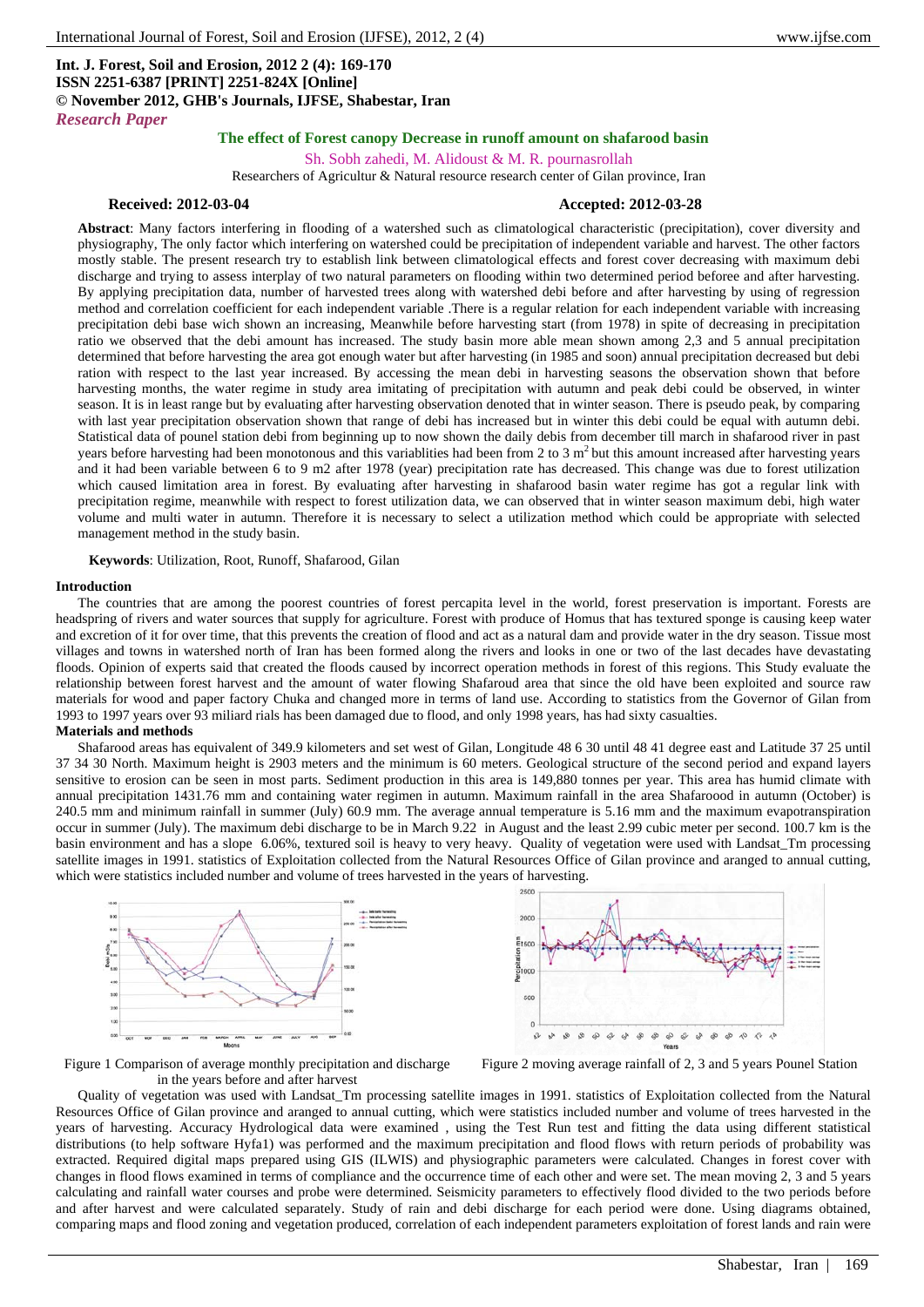# **Int. J. Forest, Soil and Erosion, 2012 2 (4): 169-170 ISSN 2251-6387 [PRINT] 2251-824X [Online] © November 2012, GHB's Journals, IJFSE, Shabestar, Iran** *Research Paper*

# **The effect of Forest canopy Decrease in runoff amount on shafarood basin**

Sh. Sobh zahedi, M. Alidoust & M. R. pournasrollah Researchers of Agricultur & Natural resource research center of Gilan province, Iran

### **Received: 2012-03-04 Accepted: 2012-03-28**

**Abstract**: Many factors interfering in flooding of a watershed such as climatological characteristic (precipitation), cover diversity and physiography, The only factor which interfering on watershed could be precipitation of independent variable and harvest. The other factors mostly stable. The present research try to establish link between climatological effects and forest cover decreasing with maximum debi discharge and trying to assess interplay of two natural parameters on flooding within two determined period beforee and after harvesting. By applying precipitation data, number of harvested trees along with watershed debi before and after harvesting by using of regression method and correlation coefficient for each independent variable .There is a regular relation for each independent variable with increasing precipitation debi base wich shown an increasing, Meanwhile before harvesting start (from 1978) in spite of decreasing in precipitation ratio we observed that the debi amount has increased. The study basin more able mean shown among 2,3 and 5 annual precipitation determined that before harvesting the area got enough water but after harvesting (in 1985 and soon) annual precipitation decreased but debi ration with respect to the last year increased. By accessing the mean debi in harvesting seasons the observation shown that before harvesting months, the water regime in study area imitating of precipitation with autumn and peak debi could be observed, in winter season. It is in least range but by evaluating after harvesting observation denoted that in winter season. There is pseudo peak, by comparing with last year precipitation observation shown that range of debi has increased but in winter this debi could be equal with autumn debi. Statistical data of pounel station debi from beginning up to now shown the daily debis from december till march in shafarood river in past years before harvesting had been monotonous and this variablities had been from 2 to 3  $m<sup>2</sup>$  but this amount increased after harvesting years and it had been variable between 6 to 9 m2 after 1978 (year) precipitation rate has decreased. This change was due to forest utilization which caused limitation area in forest. By evaluating after harvesting in shafarood basin water regime has got a regular link with precipitation regime, meanwhile with respect to forest utilization data, we can observed that in winter season maximum debi, high water volume and multi water in autumn. Therefore it is necessary to select a utilization method which could be appropriate with selected management method in the study basin.

**Keywords**: Utilization, Root, Runoff, Shafarood, Gilan

#### **Introduction**

The countries that are among the poorest countries of forest percapita level in the world, forest preservation is important. Forests are headspring of rivers and water sources that supply for agriculture. Forest with produce of Homus that has textured sponge is causing keep water and excretion of it for over time, that this prevents the creation of flood and act as a natural dam and provide water in the dry season. Tissue most villages and towns in watershed north of Iran has been formed along the rivers and looks in one or two of the last decades have devastating floods. Opinion of experts said that created the floods caused by incorrect operation methods in forest of this regions. This Study evaluate the relationship between forest harvest and the amount of water flowing Shafaroud area that since the old have been exploited and source raw materials for wood and paper factory Chuka and changed more in terms of land use. According to statistics from the Governor of Gilan from 1993 to 1997 years over 93 miliard rials has been damaged due to flood, and only 1998 years, has had sixty casualties.

### **Materials and methods**

Shafarood areas has equivalent of 349.9 kilometers and set west of Gilan, Longitude 48 6 30 until 48 41 degree east and Latitude 37 25 until 37 34 30 North. Maximum height is 2903 meters and the minimum is 60 meters. Geological structure of the second period and expand layers sensitive to erosion can be seen in most parts. Sediment production in this area is 149,880 tonnes per year. This area has humid climate with annual precipitation 1431.76 mm and containing water regimen in autumn. Maximum rainfall in the area Shafaroood in autumn (October) is 240.5 mm and minimum rainfall in summer (July) 60.9 mm. The average annual temperature is 5.16 mm and the maximum evapotranspiration occur in summer (July). The maximum debi discharge to be in March 9.22 in August and the least 2.99 cubic meter per second. 100.7 km is the basin environment and has a slope 6.06%, textured soil is heavy to very heavy. Quality of vegetation were used with Landsat\_Tm processing satellite images in 1991. statistics of Exploitation collected from the Natural Resources Office of Gilan province and aranged to annual cutting, which were statistics included number and volume of trees harvested in the years of harvesting.





Figure 1 Comparison of average monthly precipitation and discharge in the years before and after harvest

Figure 2 moving average rainfall of 2, 3 and 5 years Pounel Station

Quality of vegetation was used with Landsat\_Tm processing satellite images in 1991. statistics of Exploitation collected from the Natural Resources Office of Gilan province and aranged to annual cutting, which were statistics included number and volume of trees harvested in the years of harvesting. Accuracy Hydrological data were examined , using the Test Run test and fitting the data using different statistical distributions (to help software Hyfa1) was performed and the maximum precipitation and flood flows with return periods of probability was extracted. Required digital maps prepared using GIS (ILWIS) and physiographic parameters were calculated. Changes in forest cover with changes in flood flows examined in terms of compliance and the occurrence time of each other and were set. The mean moving 2, 3 and 5 years calculating and rainfall water courses and probe were determined. Seismicity parameters to effectively flood divided to the two periods before and after harvest and were calculated separately. Study of rain and debi discharge for each period were done. Using diagrams obtained, comparing maps and flood zoning and vegetation produced, correlation of each independent parameters exploitation of forest lands and rain were